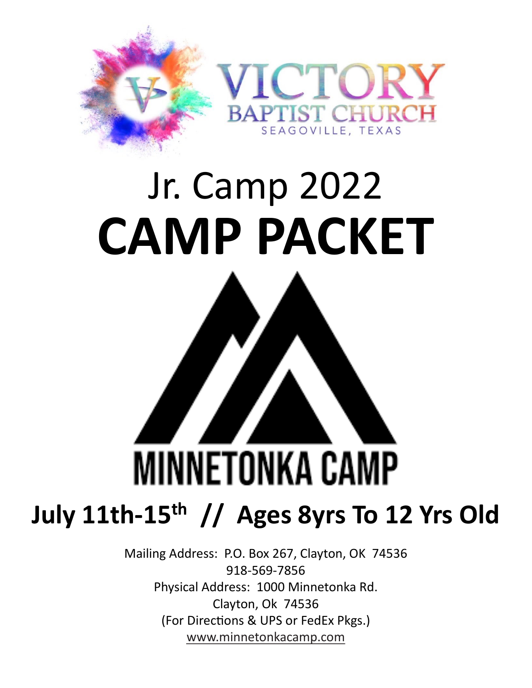

# Jr. Camp 2022 **CAMP PACKET**



Mailing Address: P.O. Box 267, Clayton, OK 74536 918-569-7856 Physical Address: 1000 Minnetonka Rd. Clayton, Ok 74536 (For Directions & UPS or FedEx Pkgs.) [www.minnetonkacamp.com](http://www.minnetonkacamp.com/)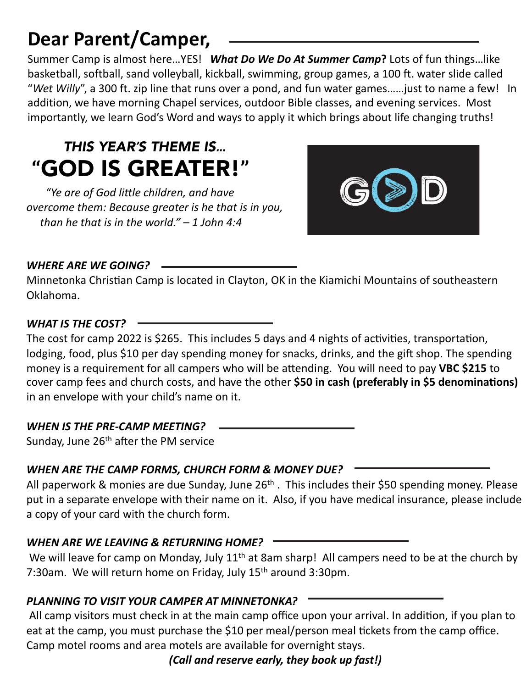### **Dear Parent/Camper,**

Summer Camp is almost here…YES! *What Do We Do At Summer Camp***?** Lots of fun things…like basketball, softball, sand volleyball, kickball, swimming, group games, a 100 ft. water slide called "*Wet Willy*", a 300 ft. zip line that runs over a pond, and fun water games……just to name a few! In addition, we have morning Chapel services, outdoor Bible classes, and evening services. Most importantly, we learn God's Word and ways to apply it which brings about life changing truths!

### *THIS YEAR'S THEME IS…* **"**GOD IS GREATER!**"**

*"Ye are of God li0le children, and have overcome them: Because greater is he that is in you, than he that is in the world." – 1 John 4:4*



#### *WHERE ARE WE GOING?*

Minnetonka Christian Camp is located in Clayton, OK in the Kiamichi Mountains of southeastern Oklahoma.

#### *WHAT IS THE COST?*

The cost for camp 2022 is \$265. This includes 5 days and 4 nights of activities, transportation, lodging, food, plus \$10 per day spending money for snacks, drinks, and the gift shop. The spending money is a requirement for all campers who will be attending. You will need to pay VBC \$215 to cover camp fees and church costs, and have the other \$50 in cash (preferably in \$5 denominations) in an envelope with your child's name on it.

#### *WHEN IS THE PRE-CAMP MEETING?*

Sunday, June  $26<sup>th</sup>$  after the PM service

#### *WHEN ARE THE CAMP FORMS, CHURCH FORM & MONEY DUE?*

All paperwork & monies are due Sunday, June 26<sup>th</sup>. This includes their \$50 spending money. Please put in a separate envelope with their name on it. Also, if you have medical insurance, please include a copy of your card with the church form.

#### *WHEN ARE WE LEAVING & RETURNING HOME?*

We will leave for camp on Monday, July 11<sup>th</sup> at 8am sharp! All campers need to be at the church by 7:30am. We will return home on Friday, July 15<sup>th</sup> around 3:30pm.

#### *PLANNING TO VISIT YOUR CAMPER AT MINNETONKA?*

All camp visitors must check in at the main camp office upon your arrival. In addition, if you plan to eat at the camp, you must purchase the \$10 per meal/person meal tickets from the camp office. Camp motel rooms and area motels are available for overnight stays.

*(Call and reserve early, they book up fast!)*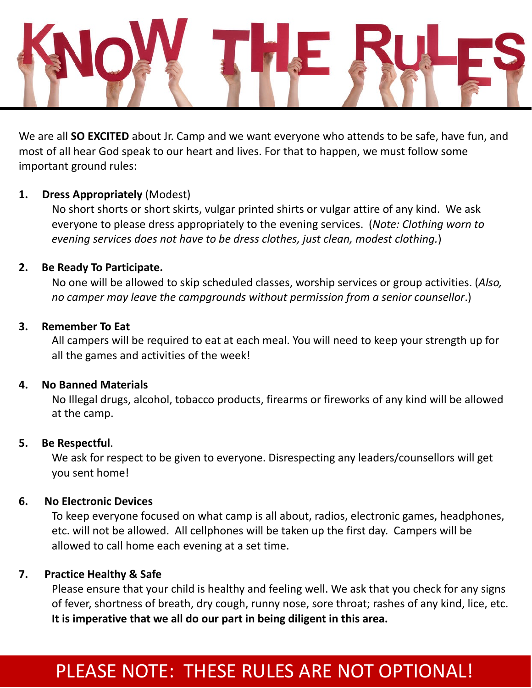

We are all **SO EXCITED** about Jr. Camp and we want everyone who attends to be safe, have fun, and most of all hear God speak to our heart and lives. For that to happen, we must follow some important ground rules:

#### **1. Dress Appropriately** (Modest)

No short shorts or short skirts, vulgar printed shirts or vulgar attire of any kind. We ask everyone to please dress appropriately to the evening services. (*Note: Clothing worn to evening services does not have to be dress clothes, just clean, modest clothing.*)

#### **2. Be Ready To Participate.**

No one will be allowed to skip scheduled classes, worship services or group activities. (*Also, no camper may leave the campgrounds without permission from a senior counsellor*.)

#### **3. Remember To Eat**

All campers will be required to eat at each meal. You will need to keep your strength up for all the games and activities of the week!

#### **4. No Banned Materials**

No Illegal drugs, alcohol, tobacco products, firearms or fireworks of any kind will be allowed at the camp.

#### **5. Be Respectful**.

We ask for respect to be given to everyone. Disrespecting any leaders/counsellors will get you sent home!

#### **6. No Electronic Devices**

To keep everyone focused on what camp is all about, radios, electronic games, headphones, etc. will not be allowed. All cellphones will be taken up the first day. Campers will be allowed to call home each evening at a set time.

#### **7. Practice Healthy & Safe**

Please ensure that your child is healthy and feeling well. We ask that you check for any signs of fever, shortness of breath, dry cough, runny nose, sore throat; rashes of any kind, lice, etc. **It is imperative that we all do our part in being diligent in this area.**

### PLEASE NOTE: THESE RULES ARE NOT OPTIONAL!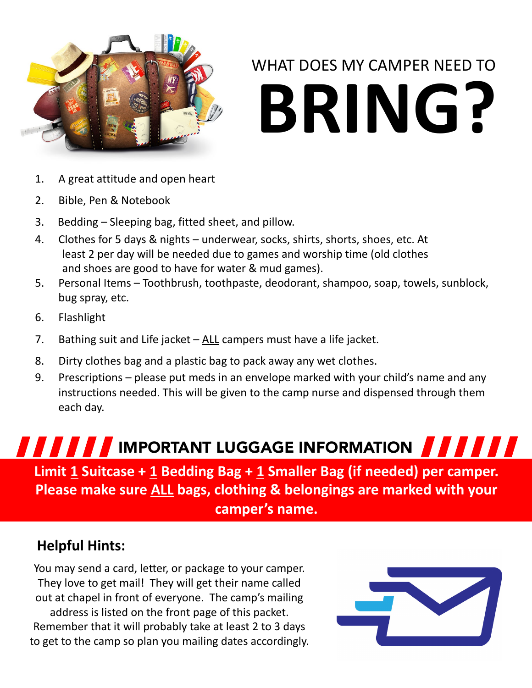

# WHAT DOES MY CAMPER NEED TO **BRING?**

- 1. A great attitude and open heart
- 2. Bible, Pen & Notebook
- 3. Bedding Sleeping bag, fitted sheet, and pillow.
- 4. Clothes for 5 days & nights underwear, socks, shirts, shorts, shoes, etc. At least 2 per day will be needed due to games and worship time (old clothes and shoes are good to have for water & mud games).
- 5. Personal Items Toothbrush, toothpaste, deodorant, shampoo, soap, towels, sunblock, bug spray, etc.
- 6. Flashlight
- 7. Bathing suit and Life jacket  $-\underline{ALL}$  campers must have a life jacket.
- 8. Dirty clothes bag and a plastic bag to pack away any wet clothes.
- 9. Prescriptions please put meds in an envelope marked with your child's name and any instructions needed. This will be given to the camp nurse and dispensed through them each day.

### **Limit 1 Suitcase + 1 Bedding Bag + 1 Smaller Bag (if needed) per camper. Please make sure ALL bags, clothing & belongings are marked with your IMPORTANT LUGGAGE INFORMATION AND AND A**

#### **camper's name.**

#### **Helpful Hints:**

You may send a card, letter, or package to your camper. They love to get mail! They will get their name called out at chapel in front of everyone. The camp's mailing address is listed on the front page of this packet. Remember that it will probably take at least 2 to 3 days to get to the camp so plan you mailing dates accordingly.

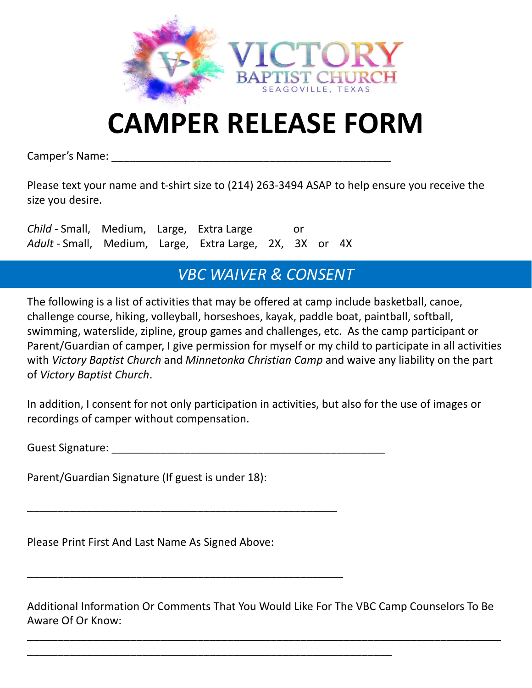

# **CAMPER RELEASE FORM**

Camper's Name:

Please text your name and t-shirt size to (214) 263-3494 ASAP to help ensure you receive the size you desire.

*Child* - Small, Medium, Large, Extra Large or *Adult* - Small, Medium, Large, Extra Large, 2X, 3X or 4X

#### *VBC WAIVER & CONSENT*

The following is a list of activities that may be offered at camp include basketball, canoe, challenge course, hiking, volleyball, horseshoes, kayak, paddle boat, paintball, softball, swimming, waterslide, zipline, group games and challenges, etc. As the camp participant or Parent/Guardian of camper, I give permission for myself or my child to participate in all activities with *Victory Baptist Church* and *Minnetonka Christian Camp* and waive any liability on the part of *Victory Baptist Church*.

In addition, I consent for not only participation in activities, but also for the use of images or recordings of camper without compensation.

Guest Signature: \_\_\_\_\_\_\_\_\_\_\_\_\_\_\_\_\_\_\_\_\_\_\_\_\_\_\_\_\_\_\_\_\_\_\_\_\_\_\_\_\_\_\_\_\_

Parent/Guardian Signature (If guest is under 18):

Please Print First And Last Name As Signed Above:

\_\_\_\_\_\_\_\_\_\_\_\_\_\_\_\_\_\_\_\_\_\_\_\_\_\_\_\_\_\_\_\_\_\_\_\_\_\_\_\_\_\_\_\_\_\_\_\_\_\_\_

\_\_\_\_\_\_\_\_\_\_\_\_\_\_\_\_\_\_\_\_\_\_\_\_\_\_\_\_\_\_\_\_\_\_\_\_\_\_\_\_\_\_\_\_\_\_\_\_\_\_\_\_

\_\_\_\_\_\_\_\_\_\_\_\_\_\_\_\_\_\_\_\_\_\_\_\_\_\_\_\_\_\_\_\_\_\_\_\_\_\_\_\_\_\_\_\_\_\_\_\_\_\_\_\_\_\_\_\_\_\_\_\_

Additional Information Or Comments That You Would Like For The VBC Camp Counselors To Be Aware Of Or Know:

\_\_\_\_\_\_\_\_\_\_\_\_\_\_\_\_\_\_\_\_\_\_\_\_\_\_\_\_\_\_\_\_\_\_\_\_\_\_\_\_\_\_\_\_\_\_\_\_\_\_\_\_\_\_\_\_\_\_\_\_\_\_\_\_\_\_\_\_\_\_\_\_\_\_\_\_\_\_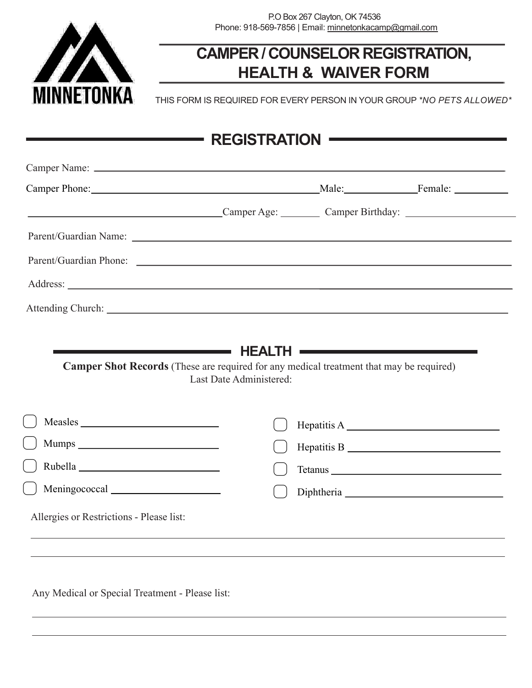

#### **CAMPER / COUNSELOR REGISTRATION, HEALTH & WAIVER FORM**

THIS FORM IS REQUIRED FOR EVERY PERSON IN YOUR GROUP *\*NO PETS ALLOWED\**

| Camper Age: Camper Age: Camper Birthday:                                                                      |                                                                                                                           |  |
|---------------------------------------------------------------------------------------------------------------|---------------------------------------------------------------------------------------------------------------------------|--|
|                                                                                                               |                                                                                                                           |  |
| Parent/Guardian Phone: Law March 2014 and 2015 and 2016 and 2017 and 2018 and 2017 and 2018 and 2017 and 2018 |                                                                                                                           |  |
|                                                                                                               |                                                                                                                           |  |
|                                                                                                               |                                                                                                                           |  |
|                                                                                                               | <b>Camper Shot Records</b> (These are required for any medical treatment that may be required)<br>Last Date Administered: |  |
|                                                                                                               |                                                                                                                           |  |
|                                                                                                               |                                                                                                                           |  |
|                                                                                                               |                                                                                                                           |  |
|                                                                                                               |                                                                                                                           |  |
|                                                                                                               |                                                                                                                           |  |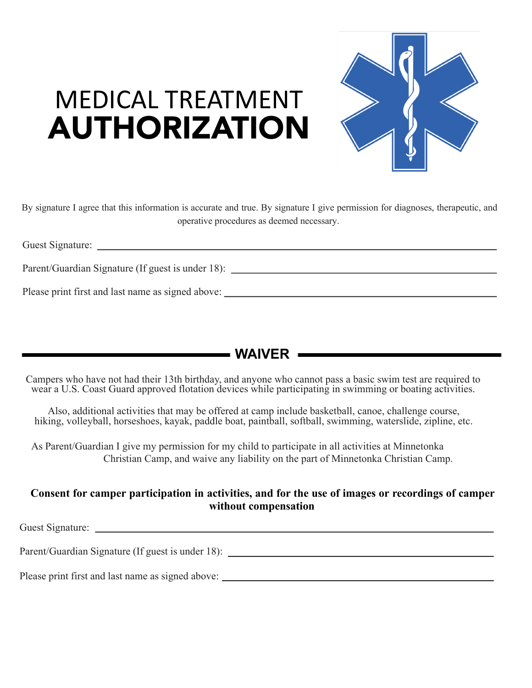

## MEDICAL TREATMENT AUTHORIZATION

By signature I agree that this information is accurate and true. By signature I give permission for diagnoses, therapeutic, and operative procedures as deemed necessary.

Guest Signature:

Parent/Guardian Signature (If guest is under 18):

Please print first and last name as signed above:

#### **WAIVER**

Campers who have not had their 13th birthday, and anyone who cannot pass a basic swim test are required to wear a U.S. Coast Guard approved flotation devices while participating in swimming or boating activities.

Also, additional activities that may be offered at camp include basketball, canoe, challenge course, hiking, volleyball, horseshoes, kayak, paddle boat, paintball, softball, swimming, waterslide, zipline, etc.

As Parent/Guardian I give my permission for my child to participate in all activities at Minnetonka Christian Camp, and waive any liability on the part of Minnetonka Christian Camp.

#### **Consent for camper participation in activities, and for the use of images or recordings of camper without compensation**

Guest Signature:

Parent/Guardian Signature (If guest is under 18): \_\_\_\_\_\_\_\_\_\_\_\_\_\_\_\_\_\_\_\_\_\_\_\_\_\_\_\_\_\_\_

Please print first and last name as signed above: